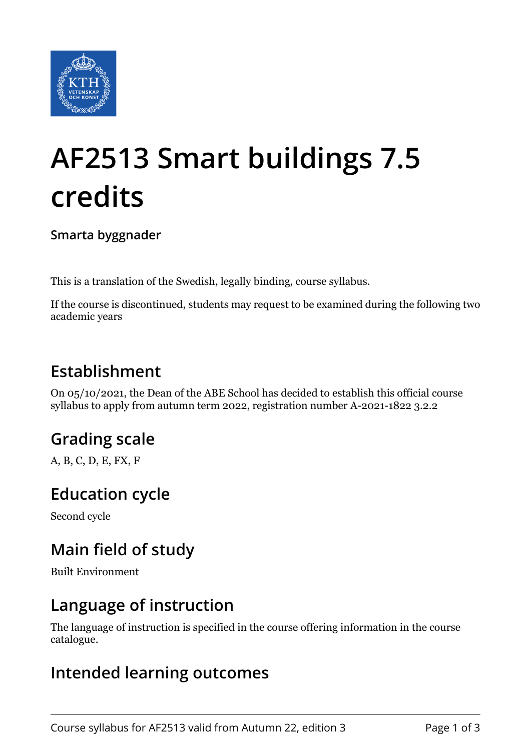

# **AF2513 Smart buildings 7.5 credits**

**Smarta byggnader**

This is a translation of the Swedish, legally binding, course syllabus.

If the course is discontinued, students may request to be examined during the following two academic years

## **Establishment**

On 05/10/2021, the Dean of the ABE School has decided to establish this official course syllabus to apply from autumn term 2022, registration number A-2021-1822 3.2.2

# **Grading scale**

A, B, C, D, E, FX, F

#### **Education cycle**

Second cycle

## **Main field of study**

Built Environment

#### **Language of instruction**

The language of instruction is specified in the course offering information in the course catalogue.

#### **Intended learning outcomes**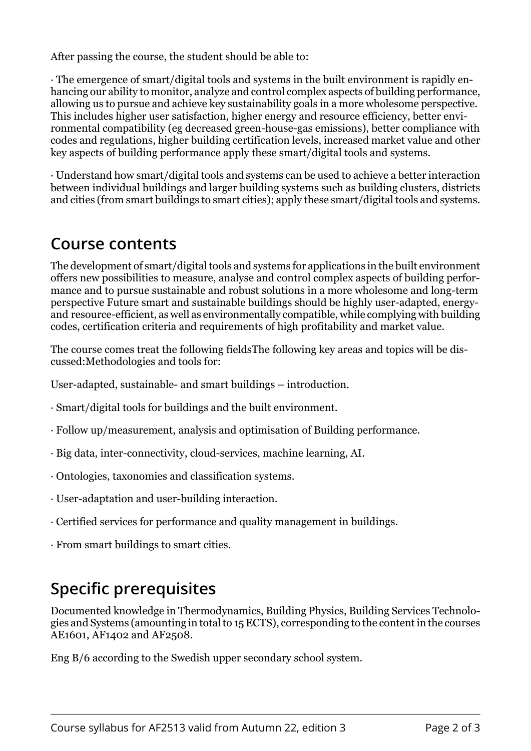After passing the course, the student should be able to:

· The emergence of smart/digital tools and systems in the built environment is rapidly enhancing our ability to monitor, analyze and control complex aspects of building performance, allowing us to pursue and achieve key sustainability goals in a more wholesome perspective. This includes higher user satisfaction, higher energy and resource efficiency, better environmental compatibility (eg decreased green-house-gas emissions), better compliance with codes and regulations, higher building certification levels, increased marzet value and other key aspects of building performance apply these smart/digital tools and systems.

· )nderstand how smart/digital tools and systems can be used to achieve a better interaction between individual buildings and larger building systems such as building clusters, districts and cities from smart buildings to smart cities); apply these smart/digital tools and systems.

#### **Course contents**

The development of smart/digital tools and systems for applications in the built environment offers new possibilities to measure, analyse and control complex aspects of building performance and to pursue sustainable and robust solutions in a more wholesome and long-term perspective Future smart and sustainable buildings should be highly user-adapted, energyand resource-efficient, as well as environmentally compatible, while complying with building codes, certification criteria and requirements of high profitability and market value.

The course comes treat the following fields The following key areas and topics will be discussed:Methodologies and tools for:

User-adapted, sustainable- and smart buildings – introduction.

- · Smart/digital tools for buildings and the built environment.
- Follow up/measurement, analysis and optimisation of Building performance.
- · Big data, inter-connectivity, cloud-services, machine learning, AI.
- · Ontologies, taxonomies and classification systems.
- $\cdot$  User-adaptation and user-building interaction.
- · Certified services for performance and quality management in buildings.
- · From smart buildings to smart cities.

#### **Specific prerequisites**

Documented knowledge in Thermodynamics, Building Physics, Building Services Technologies and Systems (amounting in total to 15 ECTS), corresponding to the content in the courses AE1601, AF1402 and AF2508.

Eng B/6 according to the Swedish upper secondary school system.